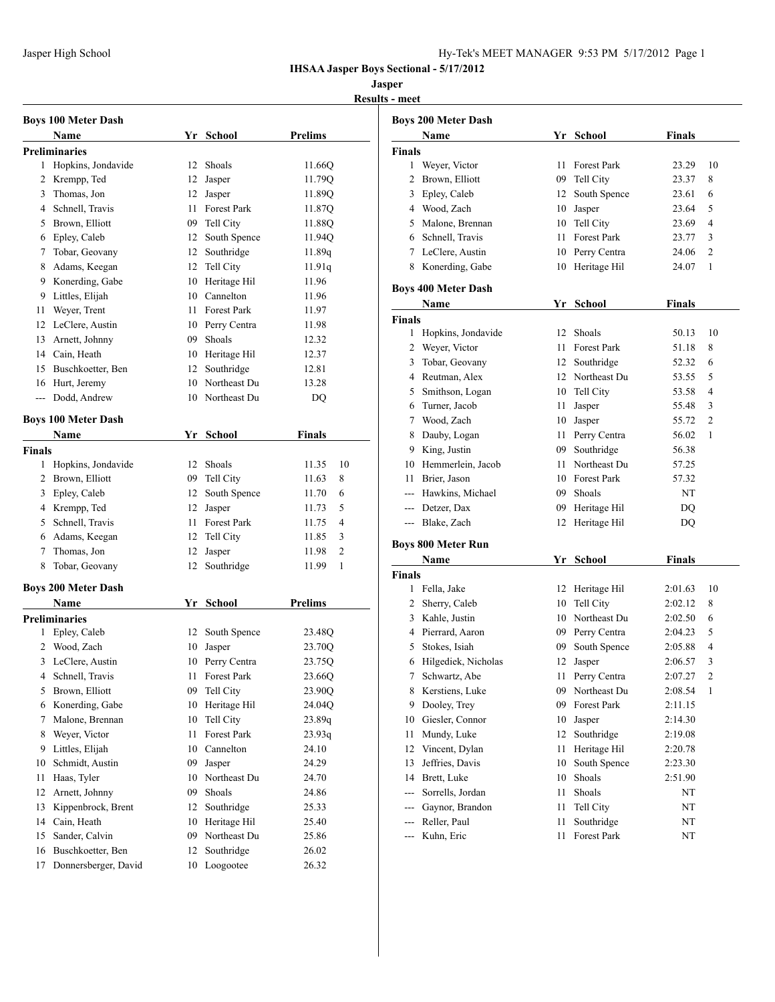| Iy-Tek's MEET MANAGER 9:53 PM 5/17/2012 Page 1 |  |  |
|------------------------------------------------|--|--|
|------------------------------------------------|--|--|

## **Jasper**

**Results - meet**

|        | <b>Boys 100 Meter Dash</b> |    |                    |                         |
|--------|----------------------------|----|--------------------|-------------------------|
|        | Name                       |    | Yr School          | <b>Prelims</b>          |
|        | Preliminaries              |    |                    |                         |
| 1      | Hopkins, Jondavide         | 12 | Shoals             | 11.66Q                  |
| 2      | Krempp, Ted                | 12 | Jasper             | 11.79Q                  |
| 3      | Thomas, Jon                | 12 | Jasper             | 11.89Q                  |
|        | 4 Schnell, Travis          | 11 | Forest Park        | 11.87Q                  |
| 5      | Brown, Elliott             |    | 09 Tell City       | 11.88Q                  |
| 6      | Epley, Caleb               |    | 12 South Spence    | 11.94Q                  |
| 7      | Tobar, Geovany             |    | 12 Southridge      | 11.89q                  |
| 8      | Adams, Keegan              |    | 12 Tell City       | 11.91q                  |
| 9      | Konerding, Gabe            | 10 | Heritage Hil       | 11.96                   |
| 9      | Littles, Elijah            |    | 10 Cannelton       | 11.96                   |
| 11     | Weyer, Trent               | 11 | <b>Forest Park</b> | 11.97                   |
| 12     | LeClere, Austin            |    | 10 Perry Centra    | 11.98                   |
| 13     | Arnett, Johnny             |    | 09 Shoals          | 12.32                   |
| 14     | Cain, Heath                |    | 10 Heritage Hil    | 12.37                   |
| 15     | Buschkoetter, Ben          |    | 12 Southridge      | 12.81                   |
| 16     | Hurt, Jeremy               | 10 | Northeast Du       | 13.28                   |
| ---    | Dodd, Andrew               | 10 | Northeast Du       | DQ                      |
|        | <b>Boys 100 Meter Dash</b> |    |                    |                         |
|        | Name                       |    | Yr School          | <b>Finals</b>           |
| Finals |                            |    |                    |                         |
| 1      | Hopkins, Jondavide         | 12 | Shoals             | 10<br>11.35             |
| 2      | Brown, Elliott             | 09 | Tell City          | 8<br>11.63              |
| 3      | Epley, Caleb               | 12 | South Spence       | 11.70<br>6              |
| 4      | Krempp, Ted                | 12 | Jasper             | 5<br>11.73              |
| 5      | Schnell, Travis            | 11 | Forest Park        | 4<br>11.75              |
| 6      | Adams, Keegan              | 12 | Tell City          | 3<br>11.85              |
| 7      | Thomas, Jon                | 12 | Jasper             | $\overline{2}$<br>11.98 |
| 8      | Tobar, Geovany             | 12 | Southridge         | 1<br>11.99              |
|        | <b>Boys 200 Meter Dash</b> |    |                    |                         |
|        | Name                       | Yr | <b>School</b>      | <b>Prelims</b>          |
|        | Preliminaries              |    |                    |                         |
| 1      | Epley, Caleb               | 12 | South Spence       | 23.48Q                  |
| 2      | Wood, Zach                 | 10 | Jasper             | 23.70Q                  |
| 3      | LeClere, Austin            | 10 | Perry Centra       | 23.75Q                  |
| 4      | Schnell, Travis            | 11 | Forest Park        | 23.66Q                  |
| 5      | Brown, Elliott             | 09 | Tell City          | 23.90Q                  |
| 6      | Konerding, Gabe            | 10 | Heritage Hil       | 24.04Q                  |
| 7      | Malone, Brennan            | 10 | Tell City          | 23.89q                  |
| 8      | Weyer, Victor              | 11 | <b>Forest Park</b> | 23.93q                  |
| 9      | Littles, Elijah            | 10 | Cannelton          | 24.10                   |
| 10     | Schmidt, Austin            | 09 | Jasper             | 24.29                   |
| 11     | Haas, Tyler                |    | 10 Northeast Du    | 24.70                   |
| 12     | Arnett, Johnny             |    | 09 Shoals          | 24.86                   |
| 13     | Kippenbrock, Brent         | 12 | Southridge         | 25.33                   |
| 14     | Cain, Heath                | 10 | Heritage Hil       | 25.40                   |
| 15     | Sander, Calvin             | 09 | Northeast Du       | 25.86                   |
| 16     | Buschkoetter, Ben          | 12 | Southridge         | 26.02                   |
| 17     | Donnersberger, David       | 10 | Loogootee          | 26.32                   |

|               | <b>Boys 200 Meter Dash</b>         |           |                              |               |                |
|---------------|------------------------------------|-----------|------------------------------|---------------|----------------|
|               | Name                               |           | Yr School                    | Finals        |                |
| Finals        |                                    |           |                              |               |                |
| 1             | Weyer, Victor                      | 11.       | Forest Park                  | 23.29         | 10             |
| 2             | Brown, Elliott                     |           | 09 Tell City                 | 23.37         | 8              |
|               | 3 Epley, Caleb                     | 12        | South Spence                 | 23.61         | 6              |
|               | 4 Wood, Zach                       | 10        | Jasper                       | 23.64         | 5              |
|               | 5 Malone, Brennan                  | 10        | Tell City                    | 23.69         | 4              |
|               | 6 Schnell, Travis                  | 11        | Forest Park                  | 23.77         | 3              |
|               | 7 LeClere, Austin                  |           | 10 Perry Centra              | 24.06         | 2              |
|               | 8 Konerding, Gabe                  | 10        | Heritage Hil                 | 24.07         | 1              |
|               | <b>Boys 400 Meter Dash</b>         |           |                              |               |                |
|               | Name                               |           | Yr School                    | Finals        |                |
| <b>Finals</b> |                                    |           |                              |               |                |
| 1             | Hopkins, Jondavide                 | 12        | Shoals                       | 50.13         | 10             |
|               | 2 Weyer, Victor                    | 11        | <b>Forest Park</b>           | 51.18         | 8              |
|               | 3 Tobar, Geovany                   |           | 12 Southridge                | 52.32         | 6              |
|               | 4 Reutman, Alex                    |           | 12 Northeast Du              | 53.55         | 5              |
|               | 5 Smithson, Logan                  |           | 10 Tell City                 | 53.58         | 4              |
|               | 6 Turner, Jacob                    | 11        | Jasper                       | 55.48         | 3              |
| 7             | Wood, Zach                         |           | 10 Jasper                    | 55.72         | $\overline{2}$ |
| 8             | Dauby, Logan                       |           | 11 Perry Centra              | 56.02         | 1              |
| 9             | King, Justin                       | 09        | Southridge                   | 56.38         |                |
|               |                                    |           | Northeast Du                 |               |                |
| 11            | 10 Hemmerlein, Jacob               | 11 -      | 10 Forest Park               | 57.25         |                |
| $---$         | Brier, Jason                       |           | Shoals                       | 57.32<br>NT   |                |
|               | Hawkins, Michael                   | 09        |                              |               |                |
|               | --- Detzer, Dax<br>--- Blake, Zach | 09.<br>12 | Heritage Hil<br>Heritage Hil | DQ            |                |
|               |                                    |           |                              | DQ            |                |
|               | <b>Boys 800 Meter Run</b>          |           |                              |               |                |
|               | Name                               | Yr        | School                       | <b>Finals</b> |                |
| Finals        |                                    |           |                              |               |                |
| 1             | Fella, Jake                        | 12        | Heritage Hil                 | 2:01.63       | 10             |
|               | 2 Sherry, Caleb                    | 10        | Tell City                    | 2:02.12       | 8              |
|               | 3 Kahle, Justin                    | 10        | Northeast Du                 | 2:02.50       | 6              |
|               | 4 Pierrard, Aaron                  | 09        | Perry Centra                 | 2:04.23       | 5              |
| 5             | Stokes, Isiah                      | 09        | South Spence                 | 2:05.88       | 4              |
| 6             | Hilgediek, Nicholas                | 12        | Jasper                       | 2:06.57       | 3              |
| 7             | Schwartz, Abe                      | 11        | Perry Centra                 | 2:07.27       | 2              |
| 8             | Kerstiens, Luke                    | 09        | Northeast Du                 | 2:08.54       | 1              |
| 9             | Dooley, Trey                       | 09        | Forest Park                  | 2:11.15       |                |
| 10            | Giesler, Connor                    | 10        | Jasper                       | 2:14.30       |                |
| 11            | Mundy, Luke                        | 12        | Southridge                   | 2:19.08       |                |
| 12            | Vincent, Dylan                     | 11        | Heritage Hil                 | 2:20.78       |                |
| 13            | Jeffries, Davis                    | 10        | South Spence                 | 2:23.30       |                |
| 14            | Brett, Luke                        | 10        | Shoals                       | 2:51.90       |                |
| $---$         | Sorrells, Jordan                   | 11        | Shoals                       | NT            |                |
| $---$         | Gaynor, Brandon                    | 11        | Tell City                    | NΤ            |                |
| ---           | Reller, Paul                       | 11        | Southridge                   | NΤ            |                |
| ---           | Kuhn, Eric                         | 11        | <b>Forest Park</b>           | NΤ            |                |
|               |                                    |           |                              |               |                |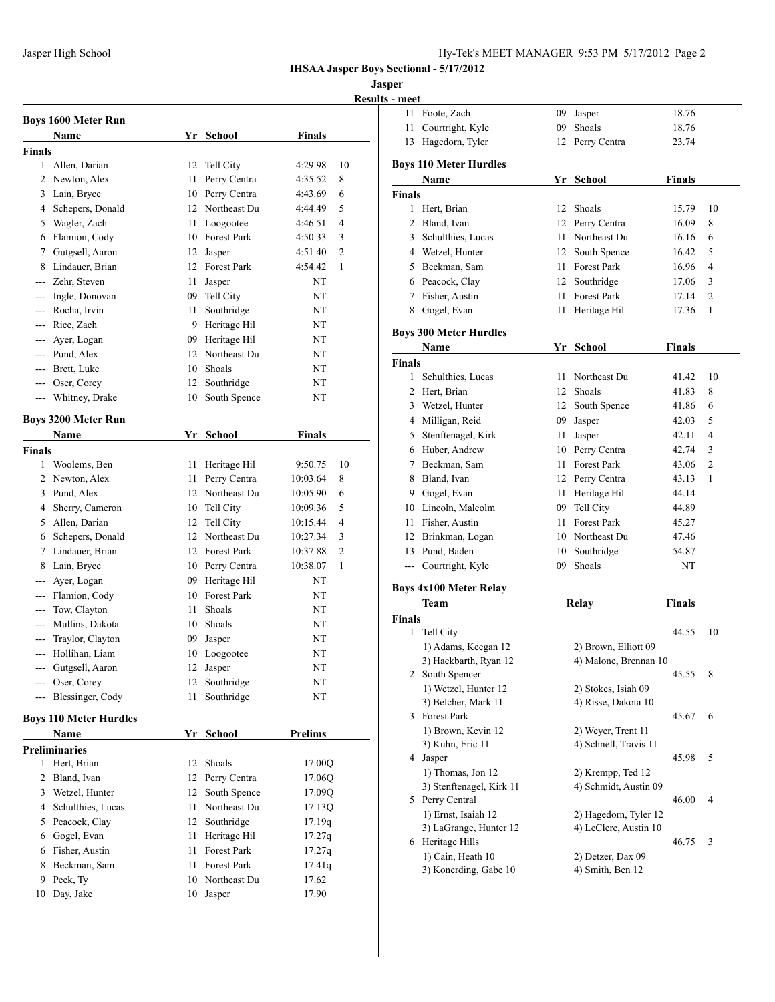## **Jasper**

**Results - meet**

|                |                               |    |                 |                | Resi           |
|----------------|-------------------------------|----|-----------------|----------------|----------------|
|                | <b>Boys 1600 Meter Run</b>    |    |                 |                |                |
|                | Name                          |    | Yr School       | <b>Finals</b>  |                |
| <b>Finals</b>  |                               |    |                 |                |                |
| 1              | Allen, Darian                 | 12 | Tell City       | 4:29.98        | 10             |
| 2              | Newton, Alex                  | 11 | Perry Centra    | 4:35.52        | 8              |
|                | 3 Lain, Bryce                 | 10 | Perry Centra    | 4:43.69        | 6              |
|                | 4 Schepers, Donald            |    | 12 Northeast Du | 4:44.49        | 5              |
| 5              | Wagler, Zach                  | 11 | Loogootee       | 4:46.51        | $\overline{4}$ |
|                | 6 Flamion, Cody               |    | 10 Forest Park  | 4:50.33        | 3              |
| 7              | Gutgsell, Aaron               | 12 | Jasper          | 4:51.40        | $\overline{c}$ |
| 8              | Lindauer, Brian               |    | 12 Forest Park  | 4:54.42        | 1              |
| $\overline{a}$ | Zehr, Steven                  | 11 | Jasper          | NT             |                |
| ---            | Ingle, Donovan                | 09 | Tell City       | NT             |                |
| ---            | Rocha, Irvin                  | 11 | Southridge      | NT             |                |
| ---            | Rice, Zach                    |    | 9 Heritage Hil  | NT             |                |
| ---            | Ayer, Logan                   |    | 09 Heritage Hil | NT             |                |
| ---            | Pund, Alex                    |    | 12 Northeast Du | NT             |                |
|                | --- Brett, Luke               | 10 | Shoals          | NT             |                |
|                | --- Oser, Corey               | 12 | Southridge      | NΤ             |                |
| ---            | Whitney, Drake                | 10 | South Spence    | NT             |                |
|                | <b>Boys 3200 Meter Run</b>    |    |                 |                |                |
|                | <b>Name</b>                   | Yr | School          | Finals         |                |
| <b>Finals</b>  |                               |    |                 |                |                |
| 1              | Woolems, Ben                  | 11 | Heritage Hil    | 9:50.75        | 10             |
|                | 2 Newton, Alex                | 11 | Perry Centra    | 10:03.64       | 8              |
| 3              | Pund, Alex                    | 12 | Northeast Du    | 10:05.90       | 6              |
| 4              | Sherry, Cameron               | 10 | Tell City       | 10:09.36       | 5              |
|                | 5 Allen, Darian               | 12 | Tell City       | 10:15.44       | 4              |
| 6              | Schepers, Donald              | 12 | Northeast Du    | 10:27.34       | 3              |
| 7              | Lindauer, Brian               |    | 12 Forest Park  | 10:37.88       | $\overline{2}$ |
| 8              | Lain, Bryce                   |    | 10 Perry Centra | 10:38.07       | 1              |
| ---            | Ayer, Logan                   | 09 | Heritage Hil    | NΤ             |                |
| ---            | Flamion, Cody                 |    | 10 Forest Park  | NT             |                |
| ---            | Tow, Clayton                  | 11 | Shoals          | NΤ             |                |
| ---            | Mullins, Dakota               | 10 | Shoals          | NΤ             |                |
| ---            | Traylor, Clayton              | 09 | Jasper          | NT             |                |
| ---            | Hollihan, Liam                | 10 | Loogootee       | NT             |                |
|                | Gutgsell, Aaron               | 12 | Jasper          | NT             |                |
| ---            | Oser, Corey                   | 12 | Southridge      | NT             |                |
| ---            | Blessinger, Cody              | 11 | Southridge      | NT             |                |
|                |                               |    |                 |                |                |
|                | <b>Boys 110 Meter Hurdles</b> |    |                 |                |                |
|                | Name                          |    | Yr School       | <b>Prelims</b> |                |
|                | <b>Preliminaries</b>          |    |                 |                |                |
| 1              | Hert, Brian                   | 12 | Shoals          | 17.00Q         |                |
| 2              | Bland, Ivan                   |    | 12 Perry Centra | 17.06Q         |                |
|                | 3 Wetzel, Hunter              | 12 | South Spence    | 17.09Q         |                |
|                | 4 Schulthies, Lucas           | 11 | Northeast Du    | 17.13Q         |                |
| 5              | Peacock, Clay                 | 12 | Southridge      | 17.19q         |                |
| 6              | Gogel, Evan                   | 11 | Heritage Hil    | 17.27q         |                |
|                | 6 Fisher, Austin              | 11 | Forest Park     | 17.27q         |                |
| 8              | Beckman, Sam                  | 11 | Forest Park     | 17.41q         |                |
| 9              | Peek, Ty                      | 10 | Northeast Du    | 17.62          |                |
| 10             | Day, Jake                     | 10 | Jasper          | 17.90          |                |
|                |                               |    |                 |                |                |

| <u>s - meet</u> |                                       |      |                                    |               |                |
|-----------------|---------------------------------------|------|------------------------------------|---------------|----------------|
| 11              | Foote, Zach                           | 09   | Jasper                             | 18.76         |                |
| 11              | Courtright, Kyle                      | 09   | Shoals                             | 18.76         |                |
| 13              | Hagedorn, Tyler                       | 12   | Perry Centra                       | 23.74         |                |
|                 |                                       |      |                                    |               |                |
|                 | <b>Boys 110 Meter Hurdles</b><br>Name |      | Yr School                          | <b>Finals</b> |                |
| <b>Finals</b>   |                                       |      |                                    |               |                |
| 1               | Hert, Brian                           | 12   | Shoals                             | 15.79         | 10             |
|                 | 2 Bland, Ivan                         |      | 12 Perry Centra                    | 16.09         | 8              |
|                 | 3 Schulthies, Lucas                   | 11 - | Northeast Du                       | 16.16         | 6              |
|                 |                                       |      |                                    |               |                |
|                 | 4 Wetzel, Hunter                      | 12   | South Spence<br><b>Forest Park</b> | 16.42         | 5              |
|                 | 5 Beckman, Sam                        | 11 - |                                    | 16.96         | 4              |
|                 | 6 Peacock, Clay                       |      | 12 Southridge                      | 17.06         | 3              |
|                 | 7 Fisher, Austin                      | 11   | Forest Park                        | 17.14         | $\overline{c}$ |
| 8               | Gogel, Evan                           | 11   | Heritage Hil                       | 17.36         | 1              |
|                 | <b>Boys 300 Meter Hurdles</b>         |      |                                    |               |                |
|                 | Name                                  | Yr   | <b>School</b>                      | <b>Finals</b> |                |
| <b>Finals</b>   |                                       |      |                                    |               |                |
| $\mathbf{1}$    | Schulthies, Lucas                     | 11   | Northeast Du                       | 41.42         | 10             |
|                 | 2 Hert, Brian                         |      | 12 Shoals                          | 41.83         | 8              |
|                 | 3 Wetzel, Hunter                      | 12   | South Spence                       | 41.86         | 6              |
|                 | 4 Milligan, Reid                      | 09   | Jasper                             | 42.03         | 5              |
| 5               | Stenftenagel, Kirk                    | 11   | Jasper                             | 42.11         | 4              |
|                 | 6 Huber, Andrew                       |      | 10 Perry Centra                    | 42.74         | 3              |
|                 | 7 Beckman, Sam                        |      | 11 Forest Park                     | 43.06         | 2              |
|                 | 8 Bland, Ivan                         |      | 12 Perry Centra                    | 43.13         | 1              |
|                 | 9 Gogel, Evan                         |      | 11 Heritage Hil                    | 44.14         |                |
|                 | 10 Lincoln, Malcolm                   |      | 09 Tell City                       | 44.89         |                |
|                 | 11 Fisher, Austin                     | 11   | <b>Forest Park</b>                 | 45.27         |                |
|                 | 12 Brinkman, Logan                    |      | 10 Northeast Du                    | 47.46         |                |
|                 | 13 Pund, Baden                        |      | 10 Southridge                      | 54.87         |                |
| $---$           | Courtright, Kyle                      | 09   | Shoals                             | NΤ            |                |
|                 |                                       |      |                                    |               |                |
|                 | <b>Boys 4x100 Meter Relay</b>         |      |                                    |               |                |
|                 | Team                                  |      | <b>Relay</b>                       | <b>Finals</b> |                |
| <b>Finals</b>   |                                       |      |                                    |               |                |
| 1               | Tell City                             |      |                                    | 44.55         | 10             |
|                 | 1) Adams, Keegan 12                   |      | 2) Brown, Elliott 09               |               |                |
|                 | 3) Hackbarth, Ryan 12                 |      | 4) Malone, Brennan 10              |               |                |
|                 | 2 South Spencer                       |      |                                    | 45.55         | 8              |
|                 | 1) Wetzel, Hunter 12                  |      | 2) Stokes, Isiah 09                |               |                |
|                 | 3) Belcher, Mark 11                   |      | 4) Risse, Dakota 10                |               |                |
|                 | 3 Forest Park                         |      |                                    | 45.67         | 6              |
|                 | 1) Brown, Kevin 12                    |      | 2) Weyer, Trent 11                 |               |                |
|                 | 3) Kuhn, Eric 11                      |      | 4) Schnell, Travis 11              |               |                |
|                 | 4 Jasper                              |      |                                    | 45.98         | 5              |
|                 | 1) Thomas, Jon 12                     |      | 2) Krempp, Ted 12                  |               |                |
|                 | 3) Stenftenagel, Kirk 11              |      | 4) Schmidt, Austin 09              |               |                |
|                 | 5 Perry Central                       |      |                                    | 46.00         | 4              |
|                 | 1) Ernst, Isaiah 12                   |      | 2) Hagedorn, Tyler 12              |               |                |
|                 | 3) LaGrange, Hunter 12                |      | 4) LeClere, Austin 10              |               |                |
|                 | 6 Heritage Hills                      |      |                                    | 46.75         | 3              |
|                 | 1) Cain, Heath 10                     |      | 2) Detzer, Dax 09                  |               |                |
|                 | 3) Konerding, Gabe 10                 |      | 4) Smith, Ben 12                   |               |                |
|                 |                                       |      |                                    |               |                |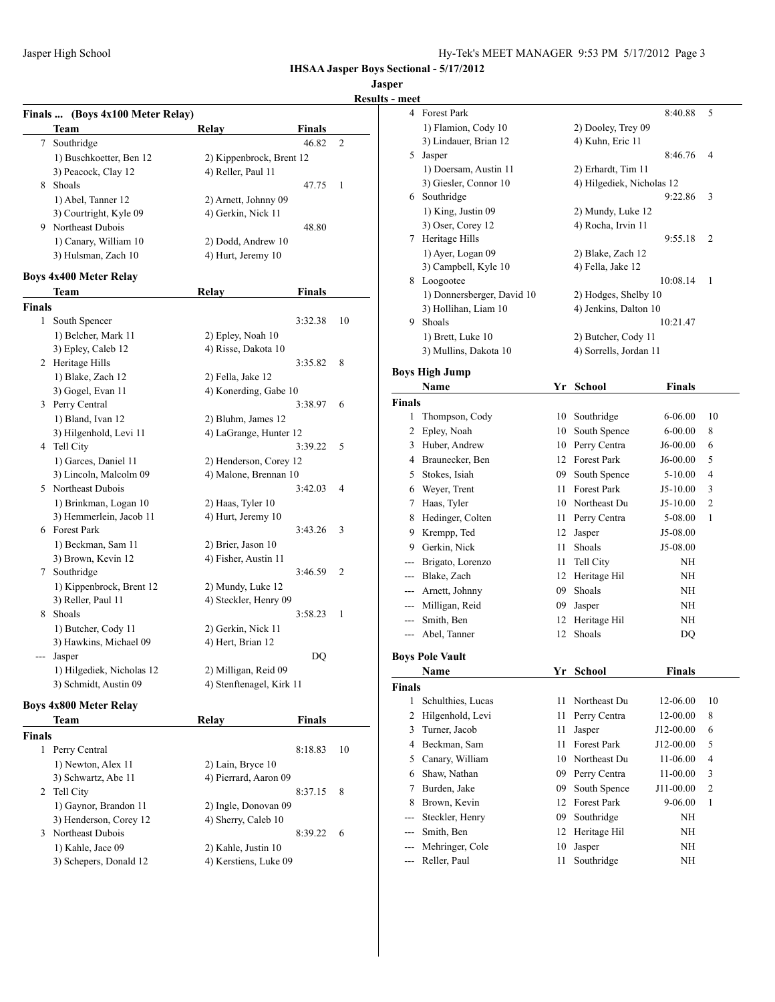**Jasper**

## **Results - meet**

|               | Finals  (Boys 4x100 Meter Relay) |                                            |               |    |
|---------------|----------------------------------|--------------------------------------------|---------------|----|
|               | Team                             | Relay                                      | <b>Finals</b> |    |
| 7             | Southridge                       |                                            | 46.82         | 2  |
|               | 1) Buschkoetter, Ben 12          | 2) Kippenbrock, Brent 12                   |               |    |
|               | 3) Peacock, Clay 12              | 4) Reller, Paul 11                         |               |    |
| 8             | Shoals                           |                                            | 47.75         | 1  |
|               | 1) Abel, Tanner 12               | 2) Arnett, Johnny 09                       |               |    |
|               | 3) Courtright, Kyle 09           | 4) Gerkin, Nick 11                         |               |    |
| 9             | Northeast Dubois                 |                                            | 48.80         |    |
|               | 1) Canary, William 10            | 2) Dodd, Andrew 10                         |               |    |
|               | 3) Hulsman, Zach 10              | 4) Hurt, Jeremy 10                         |               |    |
|               |                                  |                                            |               |    |
|               | <b>Boys 4x400 Meter Relay</b>    |                                            |               |    |
|               | Team                             | Relay                                      | Finals        |    |
| <b>Finals</b> |                                  |                                            |               |    |
| 1             | South Spencer                    |                                            | 3:32.38       | 10 |
|               | 1) Belcher, Mark 11              | 2) Epley, Noah 10                          |               |    |
|               | 3) Epley, Caleb 12               | 4) Risse, Dakota 10                        |               |    |
|               | 2 Heritage Hills                 |                                            | 3:35.82       | 8  |
|               | 1) Blake, Zach 12                | 2) Fella, Jake 12                          |               |    |
|               | 3) Gogel, Evan 11                | 4) Konerding, Gabe 10                      |               |    |
|               | 3 Perry Central                  |                                            | 3:38.97       | 6  |
|               | 1) Bland, Ivan 12                | 2) Bluhm, James 12                         |               |    |
|               | 3) Hilgenhold, Levi 11           | 4) LaGrange, Hunter 12                     |               |    |
|               | 4 Tell City                      |                                            | 3:39.22       | 5  |
|               | 1) Garces, Daniel 11             | 2) Henderson, Corey 12                     |               |    |
|               | 3) Lincoln, Malcolm 09           | 4) Malone, Brennan 10                      |               |    |
|               | 5 Northeast Dubois               |                                            | 3:42.03       | 4  |
|               | 1) Brinkman, Logan 10            | 2) Haas, Tyler 10                          |               |    |
|               | 3) Hemmerlein, Jacob 11          | 4) Hurt, Jeremy 10                         |               |    |
|               | 6 Forest Park                    |                                            | 3:43.26       | 3  |
|               |                                  |                                            |               |    |
|               | 1) Beckman, Sam 11               | 2) Brier, Jason 10<br>4) Fisher, Austin 11 |               |    |
|               | 3) Brown, Kevin 12<br>Southridge |                                            | 3:46.59       | 2  |
| 7             |                                  |                                            |               |    |
|               | 1) Kippenbrock, Brent 12         | 2) Mundy, Luke 12                          |               |    |
|               | 3) Reller, Paul 11               | 4) Steckler, Henry 09                      |               |    |
|               | 8 Shoals                         |                                            | 3:58.23       | 1  |
|               | 1) Butcher, Cody 11              | 2) Gerkin, Nick 11                         |               |    |
|               | 3) Hawkins, Michael 09           | 4) Hert, Brian 12                          |               |    |
| ---           | Jasper                           |                                            | DQ            |    |
|               | 1) Hilgediek, Nicholas 12        | 2) Milligan, Reid 09                       |               |    |
|               | 3) Schmidt, Austin 09            | 4) Stenftenagel, Kirk 11                   |               |    |
|               | <b>Boys 4x800 Meter Relay</b>    |                                            |               |    |
|               | Team                             | Relay                                      | <b>Finals</b> |    |
| <b>Finals</b> |                                  |                                            |               |    |
| 1             | Perry Central                    |                                            | 8:18.83       | 10 |
|               | 1) Newton, Alex 11               | 2) Lain, Bryce 10                          |               |    |
|               | 3) Schwartz, Abe 11              | 4) Pierrard, Aaron 09                      |               |    |
| 2             | Tell City                        |                                            | 8:37.15       | 8  |
|               | 1) Gaynor, Brandon 11            | 2) Ingle, Donovan 09                       |               |    |
|               |                                  |                                            |               |    |

3) Henderson, Corey 12 4) Sherry, Caleb 10

1) Kahle, Jace 09 2) Kahle, Justin 10 3) Schepers, Donald 12 4) Kerstiens, Luke 09

3 Northeast Dubois 8:39.22 6

| шсс            |                            |    |                           |               |                |
|----------------|----------------------------|----|---------------------------|---------------|----------------|
| 4              | Forest Park                |    |                           | 8:40.88       | 5              |
|                | 1) Flamion, Cody 10        |    | 2) Dooley, Trey 09        |               |                |
|                | 3) Lindauer, Brian 12      |    | 4) Kuhn, Eric 11          |               |                |
| 5.             | Jasper                     |    |                           | 8:46.76       | 4              |
|                | 1) Doersam, Austin 11      |    | 2) Erhardt, Tim 11        |               |                |
|                | 3) Giesler, Connor 10      |    | 4) Hilgediek, Nicholas 12 |               |                |
|                | 6 Southridge               |    |                           | 9:22.86       | 3              |
|                | 1) King, Justin 09         |    | 2) Mundy, Luke 12         |               |                |
|                | 3) Oser, Corey 12          |    | 4) Rocha, Irvin 11        |               |                |
|                | 7 Heritage Hills           |    |                           | 9:55.18       | 2              |
|                | 1) Ayer, Logan 09          |    | 2) Blake, Zach 12         |               |                |
|                | 3) Campbell, Kyle 10       |    | 4) Fella, Jake 12         |               |                |
|                | 8 Loogootee                |    |                           | 10:08.14      | 1              |
|                | 1) Donnersberger, David 10 |    | 2) Hodges, Shelby 10      |               |                |
|                | 3) Hollihan, Liam 10       |    | 4) Jenkins, Dalton 10     |               |                |
|                | 9 Shoals                   |    |                           | 10:21.47      |                |
|                | 1) Brett, Luke 10          |    | 2) Butcher, Cody 11       |               |                |
|                | 3) Mullins, Dakota 10      |    | 4) Sorrells, Jordan 11    |               |                |
|                | <b>Boys High Jump</b>      |    |                           |               |                |
|                | Name                       | Yr | <b>School</b>             | <b>Finals</b> |                |
| <b>Finals</b>  |                            |    |                           |               |                |
| 1              | Thompson, Cody             | 10 | Southridge                | 6-06.00       | 10             |
| 2              | Epley, Noah                | 10 | South Spence              | $6 - 00.00$   | 8              |
| 3              | Huber, Andrew              |    | 10 Perry Centra           | J6-00.00      | 6              |
|                | 4 Braunecker, Ben          |    | 12 Forest Park            | J6-00.00      | 5              |
| 5              | Stokes, Isiah              | 09 | South Spence              | 5-10.00       | 4              |
| 6              | Weyer, Trent               |    | 11 Forest Park            | J5-10.00      | 3              |
| 7              | Haas, Tyler                |    | 10 Northeast Du           | J5-10.00      | 2              |
| 8              | Hedinger, Colten           | 11 | Perry Centra              | 5-08.00       | 1              |
| 9              | Krempp, Ted                | 12 | Jasper                    | J5-08.00      |                |
| 9              | Gerkin, Nick               | 11 | Shoals                    | J5-08.00      |                |
|                | Brigato, Lorenzo           | 11 | Tell City                 | NH            |                |
| $---$          |                            |    |                           |               |                |
| $---$          | Blake, Zach                | 12 | Heritage Hil              | NH            |                |
| ---            | Arnett, Johnny             | 09 | Shoals                    | NH            |                |
| $\overline{a}$ | Milligan, Reid             | 09 | Jasper                    | NH            |                |
| $---$          | Smith, Ben                 | 12 | Heritage Hil              | NH            |                |
| $---$          | Abel, Tanner               | 12 | Shoals                    | DQ            |                |
|                | <b>Boys Pole Vault</b>     |    |                           |               |                |
|                | Name                       | Υr | School                    | Finals        |                |
| <b>Finals</b>  |                            |    |                           |               |                |
| 1              | Schulthies, Lucas          | 11 | Northeast Du              | 12-06.00      | 10             |
| 2              | Hilgenhold, Levi           | 11 | Perry Centra              | 12-00.00      | 8              |
| 3              | Turner, Jacob              | 11 | Jasper                    | J12-00.00     | 6              |
| 4              | Beckman, Sam               | 11 | Forest Park               | J12-00.00     | 5              |
| 5              | Canary, William            | 10 | Northeast Du              | 11-06.00      | 4              |
| 6              | Shaw, Nathan               | 09 | Perry Centra              | 11-00.00      | 3              |
| 7              | Burden, Jake               | 09 | South Spence              | J11-00.00     | $\overline{2}$ |
| 8              | Brown, Kevin               | 12 | Forest Park               | 9-06.00       | 1              |
| ---            | Steckler, Henry            | 09 | Southridge                | NH            |                |
| ---            | Smith, Ben                 | 12 | Heritage Hil              | NH            |                |
|                | Mehringer, Cole            | 10 | Jasper                    | NH            |                |
|                | Reller, Paul               | 11 | Southridge                | NH            |                |
|                |                            |    |                           |               |                |